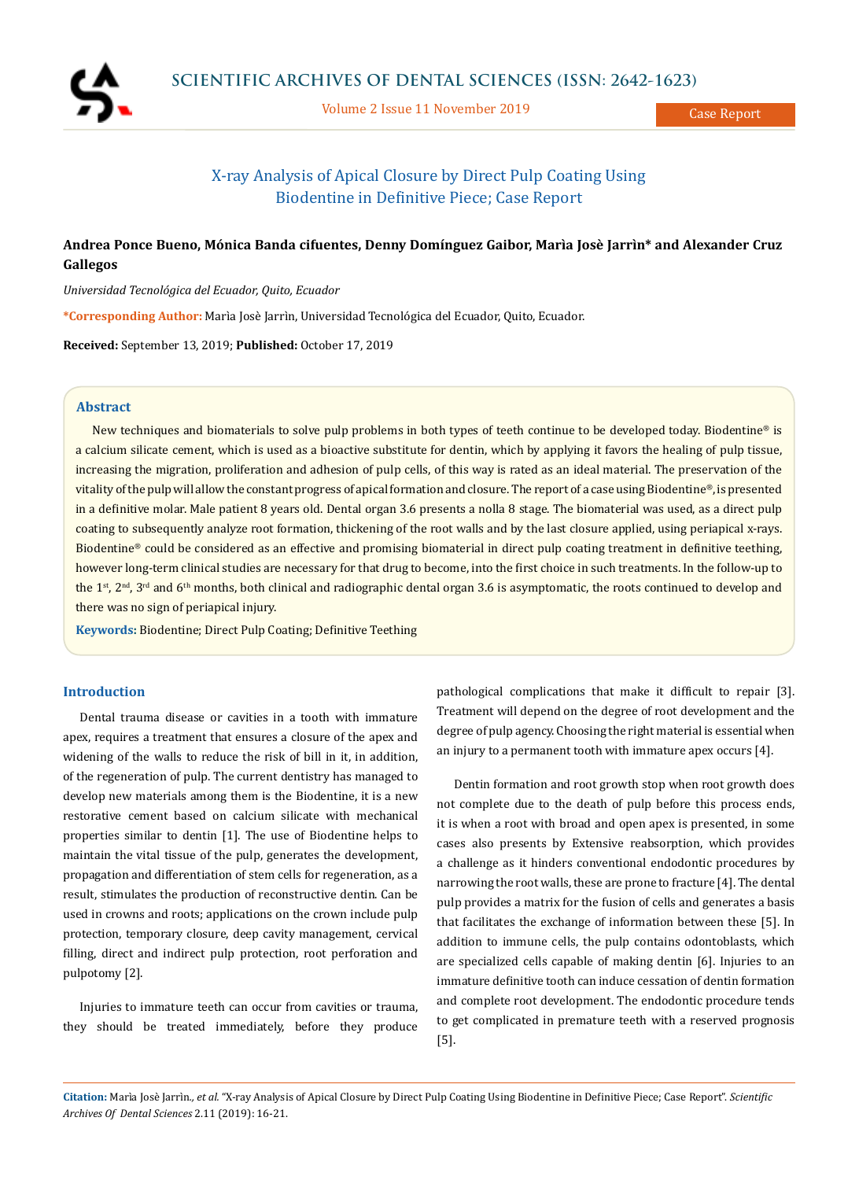

Volume 2 Issue 11 November 2019

Case Report

# X-ray Analysis of Apical Closure by Direct Pulp Coating Using Biodentine in Definitive Piece; Case Report

## **Andrea Ponce Bueno, Mónica Banda cifuentes, Denny Domínguez Gaibor, Marìa Josè Jarrìn\* and Alexander Cruz Gallegos**

*Universidad Tecnológica del Ecuador, Quito, Ecuador*

**\*Corresponding Author:** Marìa Josè Jarrìn, Universidad Tecnológica del Ecuador, Quito, Ecuador.

**Received:** September 13, 2019; **Published:** October 17, 2019

## **Abstract**

New techniques and biomaterials to solve pulp problems in both types of teeth continue to be developed today. Biodentine® is a calcium silicate cement, which is used as a bioactive substitute for dentin, which by applying it favors the healing of pulp tissue, increasing the migration, proliferation and adhesion of pulp cells, of this way is rated as an ideal material. The preservation of the vitality of the pulp will allow the constant progress of apical formation and closure. The report of a case using Biodentine®, is presented in a definitive molar. Male patient 8 years old. Dental organ 3.6 presents a nolla 8 stage. The biomaterial was used, as a direct pulp coating to subsequently analyze root formation, thickening of the root walls and by the last closure applied, using periapical x-rays. Biodentine® could be considered as an effective and promising biomaterial in direct pulp coating treatment in definitive teething, however long-term clinical studies are necessary for that drug to become, into the first choice in such treatments. In the follow-up to the 1<sup>st</sup>, 2<sup>nd</sup>, 3<sup>rd</sup> and 6<sup>th</sup> months, both clinical and radiographic dental organ 3.6 is asymptomatic, the roots continued to develop and there was no sign of periapical injury.

**Keywords:** Biodentine; Direct Pulp Coating; Definitive Teething

## **Introduction**

Dental trauma disease or cavities in a tooth with immature apex, requires a treatment that ensures a closure of the apex and widening of the walls to reduce the risk of bill in it, in addition, of the regeneration of pulp. The current dentistry has managed to develop new materials among them is the Biodentine, it is a new restorative cement based on calcium silicate with mechanical properties similar to dentin [1]. The use of Biodentine helps to maintain the vital tissue of the pulp, generates the development, propagation and differentiation of stem cells for regeneration, as a result, stimulates the production of reconstructive dentin. Can be used in crowns and roots; applications on the crown include pulp protection, temporary closure, deep cavity management, cervical filling, direct and indirect pulp protection, root perforation and pulpotomy [2].

Injuries to immature teeth can occur from cavities or trauma, they should be treated immediately, before they produce pathological complications that make it difficult to repair [3]. Treatment will depend on the degree of root development and the degree of pulp agency. Choosing the right material is essential when an injury to a permanent tooth with immature apex occurs [4].

Dentin formation and root growth stop when root growth does not complete due to the death of pulp before this process ends, it is when a root with broad and open apex is presented, in some cases also presents by Extensive reabsorption, which provides a challenge as it hinders conventional endodontic procedures by narrowing the root walls, these are prone to fracture [4]. The dental pulp provides a matrix for the fusion of cells and generates a basis that facilitates the exchange of information between these [5]. In addition to immune cells, the pulp contains odontoblasts, which are specialized cells capable of making dentin [6]. Injuries to an immature definitive tooth can induce cessation of dentin formation and complete root development. The endodontic procedure tends to get complicated in premature teeth with a reserved prognosis [5].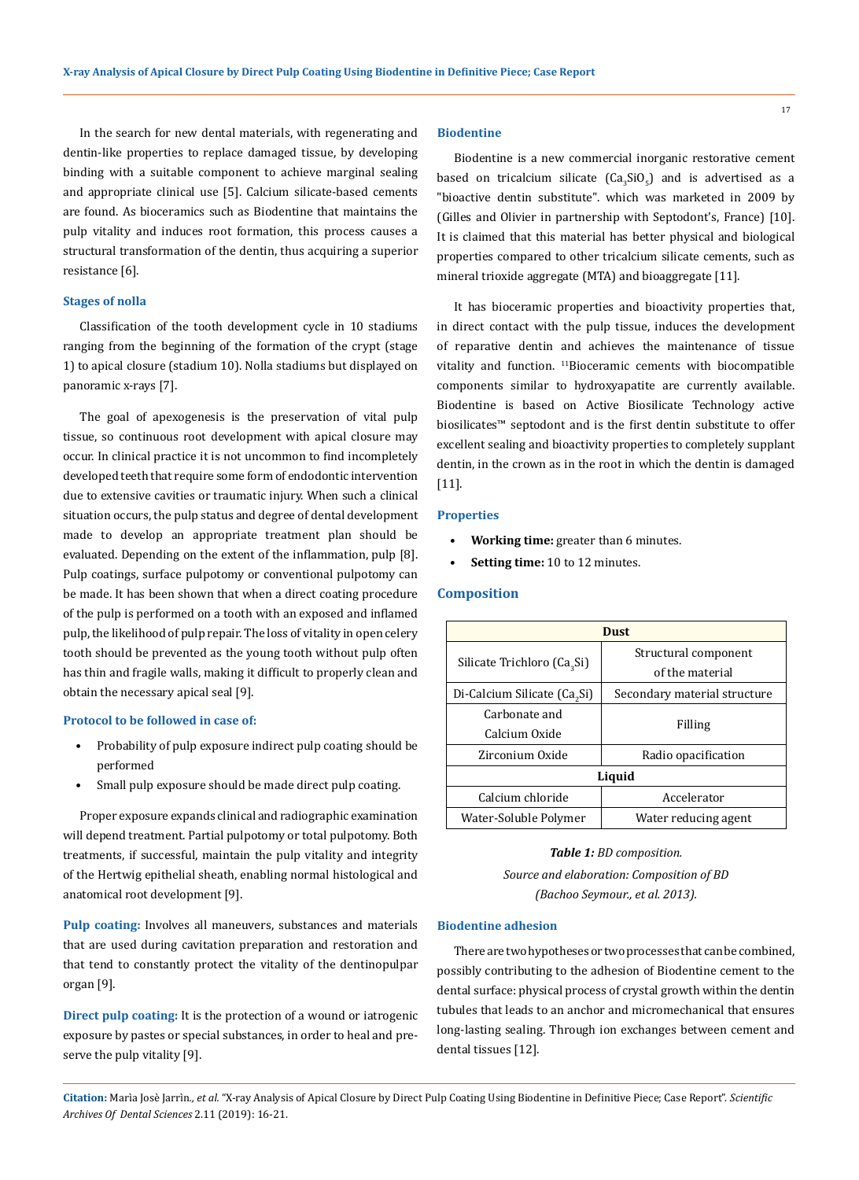In the search for new dental materials, with regenerating and dentin-like properties to replace damaged tissue, by developing binding with a suitable component to achieve marginal sealing and appropriate clinical use [5]. Calcium silicate-based cements are found. As bioceramics such as Biodentine that maintains the pulp vitality and induces root formation, this process causes a structural transformation of the dentin, thus acquiring a superior resistance [6].

## **Stages of nolla**

Classification of the tooth development cycle in 10 stadiums ranging from the beginning of the formation of the crypt (stage 1) to apical closure (stadium 10). Nolla stadiums but displayed on panoramic x-rays [7].

The goal of apexogenesis is the preservation of vital pulp tissue, so continuous root development with apical closure may occur. In clinical practice it is not uncommon to find incompletely developed teeth that require some form of endodontic intervention due to extensive cavities or traumatic injury. When such a clinical situation occurs, the pulp status and degree of dental development made to develop an appropriate treatment plan should be evaluated. Depending on the extent of the inflammation, pulp [8]. Pulp coatings, surface pulpotomy or conventional pulpotomy can be made. It has been shown that when a direct coating procedure of the pulp is performed on a tooth with an exposed and inflamed pulp, the likelihood of pulp repair. The loss of vitality in open celery tooth should be prevented as the young tooth without pulp often has thin and fragile walls, making it difficult to properly clean and obtain the necessary apical seal [9].

#### **Protocol to be followed in case of:**

- Probability of pulp exposure indirect pulp coating should be performed
- Small pulp exposure should be made direct pulp coating.

Proper exposure expands clinical and radiographic examination will depend treatment. Partial pulpotomy or total pulpotomy. Both treatments, if successful, maintain the pulp vitality and integrity of the Hertwig epithelial sheath, enabling normal histological and anatomical root development [9].

**Pulp coating:** Involves all maneuvers, substances and materials that are used during cavitation preparation and restoration and that tend to constantly protect the vitality of the dentinopulpar organ [9].

**Direct pulp coating:** It is the protection of a wound or iatrogenic exposure by pastes or special substances, in order to heal and preserve the pulp vitality [9].

#### **Biodentine**

Biodentine is a new commercial inorganic restorative cement based on tricalcium silicate (Ca<sub>3</sub>SiO<sub>5</sub>) and is advertised as a "bioactive dentin substitute". which was marketed in 2009 by (Gilles and Olivier in partnership with Septodont's, France) [10]. It is claimed that this material has better physical and biological properties compared to other tricalcium silicate cements, such as mineral trioxide aggregate (MTA) and bioaggregate [11].

It has bioceramic properties and bioactivity properties that, in direct contact with the pulp tissue, induces the development of reparative dentin and achieves the maintenance of tissue vitality and function. 11Bioceramic cements with biocompatible components similar to hydroxyapatite are currently available. Biodentine is based on Active Biosilicate Technology active biosilicates™ septodont and is the first dentin substitute to offer excellent sealing and bioactivity properties to completely supplant dentin, in the crown as in the root in which the dentin is damaged [11].

## **Properties**

- **• Working time:** greater than 6 minutes.
- **• Setting time:** 10 to 12 minutes.

#### **Composition**

| <b>Dust</b>                              |                              |
|------------------------------------------|------------------------------|
| Silicate Trichloro (Ca <sub>3</sub> Si)  | Structural component         |
|                                          | of the material              |
| Di-Calcium Silicate (Ca <sub>2</sub> Si) | Secondary material structure |
| Carbonate and                            | Filling                      |
| Calcium Oxide                            |                              |
| Zirconium Oxide                          | Radio opacification          |
| Liquid                                   |                              |
| Calcium chloride                         | Accelerator                  |
| Water-Soluble Polymer                    | Water reducing agent         |

#### *Table 1: BD composition.*

*Source and elaboration: Composition of BD (Bachoo Seymour., et al. 2013).*

## **Biodentine adhesion**

There are two hypotheses or two processes that can be combined, possibly contributing to the adhesion of Biodentine cement to the dental surface: physical process of crystal growth within the dentin tubules that leads to an anchor and micromechanical that ensures long-lasting sealing. Through ion exchanges between cement and dental tissues [12].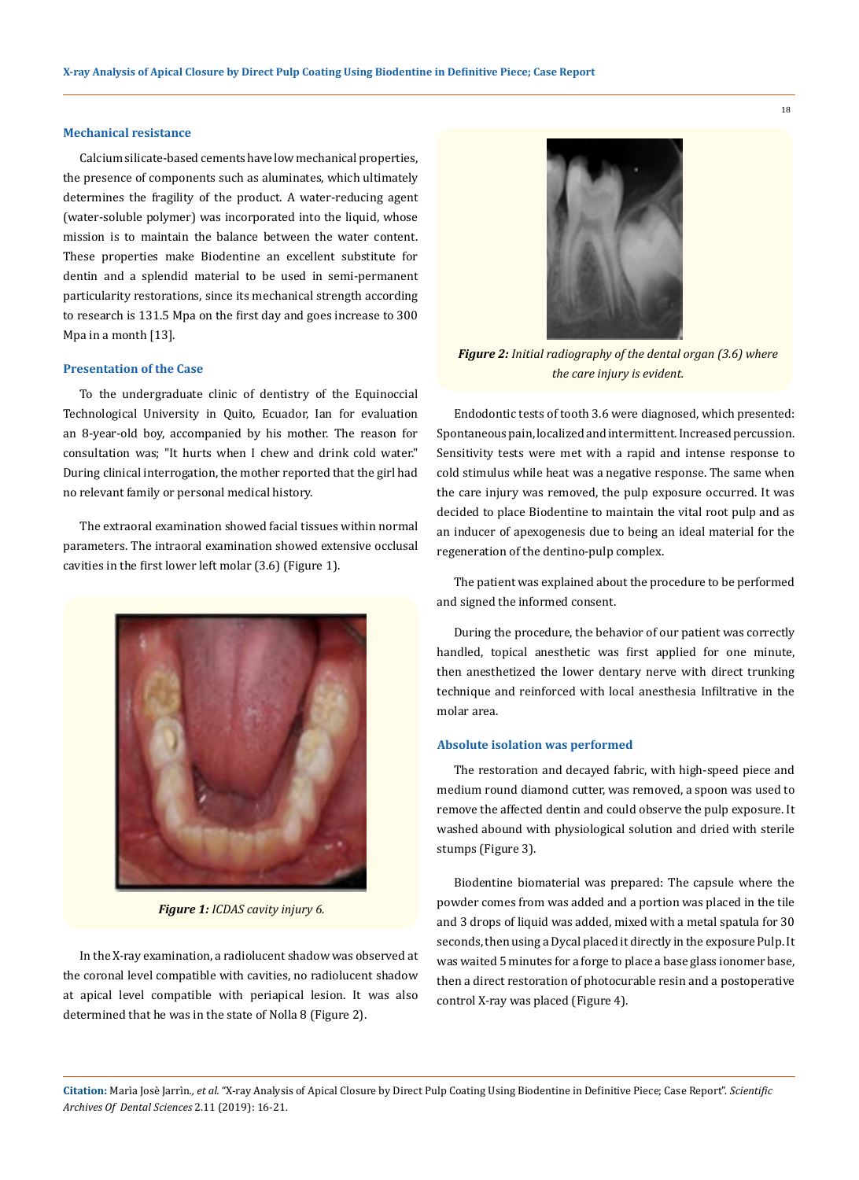#### **Mechanical resistance**

Calcium silicate-based cements have low mechanical properties, the presence of components such as aluminates, which ultimately determines the fragility of the product. A water-reducing agent (water-soluble polymer) was incorporated into the liquid, whose mission is to maintain the balance between the water content. These properties make Biodentine an excellent substitute for dentin and a splendid material to be used in semi-permanent particularity restorations, since its mechanical strength according to research is 131.5 Mpa on the first day and goes increase to 300 Mpa in a month [13].

#### **Presentation of the Case**

To the undergraduate clinic of dentistry of the Equinoccial Technological University in Quito, Ecuador, Ian for evaluation an 8-year-old boy, accompanied by his mother. The reason for consultation was; "It hurts when I chew and drink cold water." During clinical interrogation, the mother reported that the girl had no relevant family or personal medical history.

The extraoral examination showed facial tissues within normal parameters. The intraoral examination showed extensive occlusal cavities in the first lower left molar (3.6) (Figure 1).



*Figure 1: ICDAS cavity injury 6.*

In the X-ray examination, a radiolucent shadow was observed at the coronal level compatible with cavities, no radiolucent shadow at apical level compatible with periapical lesion. It was also determined that he was in the state of Nolla 8 (Figure 2).



*Figure 2: Initial radiography of the dental organ (3.6) where the care injury is evident.*

Endodontic tests of tooth 3.6 were diagnosed, which presented: Spontaneous pain, localized and intermittent. Increased percussion. Sensitivity tests were met with a rapid and intense response to cold stimulus while heat was a negative response. The same when the care injury was removed, the pulp exposure occurred. It was decided to place Biodentine to maintain the vital root pulp and as an inducer of apexogenesis due to being an ideal material for the regeneration of the dentino-pulp complex.

The patient was explained about the procedure to be performed and signed the informed consent.

During the procedure, the behavior of our patient was correctly handled, topical anesthetic was first applied for one minute, then anesthetized the lower dentary nerve with direct trunking technique and reinforced with local anesthesia Infiltrative in the molar area.

### **Absolute isolation was performed**

The restoration and decayed fabric, with high-speed piece and medium round diamond cutter, was removed, a spoon was used to remove the affected dentin and could observe the pulp exposure. It washed abound with physiological solution and dried with sterile stumps (Figure 3).

Biodentine biomaterial was prepared: The capsule where the powder comes from was added and a portion was placed in the tile and 3 drops of liquid was added, mixed with a metal spatula for 30 seconds, then using a Dycal placed it directly in the exposure Pulp. It was waited 5 minutes for a forge to place a base glass ionomer base, then a direct restoration of photocurable resin and a postoperative control X-ray was placed (Figure 4).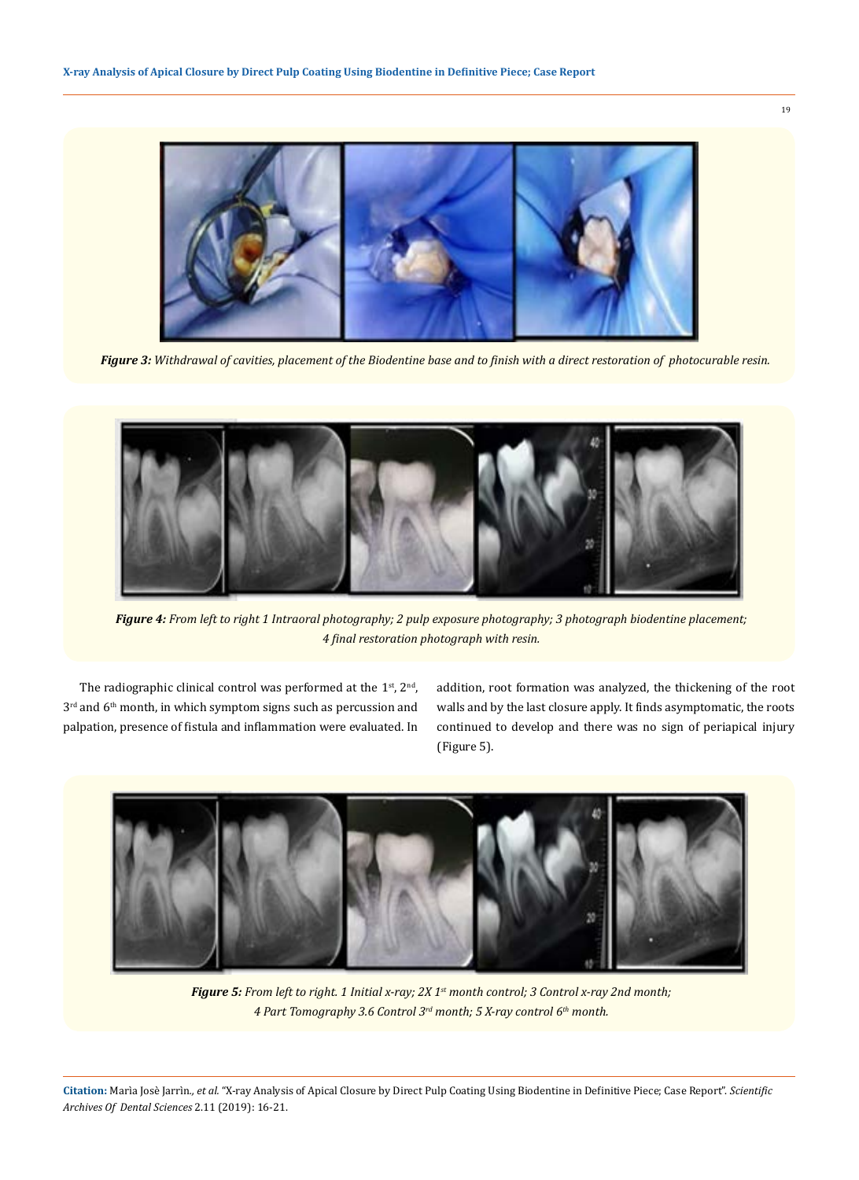

*Figure 3: Withdrawal of cavities, placement of the Biodentine base and to finish with a direct restoration of photocurable resin.*



*Figure 4: From left to right 1 Intraoral photography; 2 pulp exposure photography; 3 photograph biodentine placement; 4 final restoration photograph with resin.*

The radiographic clinical control was performed at the  $1<sup>st</sup>$ ,  $2<sup>nd</sup>$ , 3<sup>rd</sup> and 6<sup>th</sup> month, in which symptom signs such as percussion and palpation, presence of fistula and inflammation were evaluated. In addition, root formation was analyzed, the thickening of the root walls and by the last closure apply. It finds asymptomatic, the roots continued to develop and there was no sign of periapical injury (Figure 5).



*Figure 5: From left to right. 1 Initial x-ray; 2X 1st month control; 3 Control x-ray 2nd month; 4 Part Tomography 3.6 Control 3rd month; 5 X-ray control 6th month.*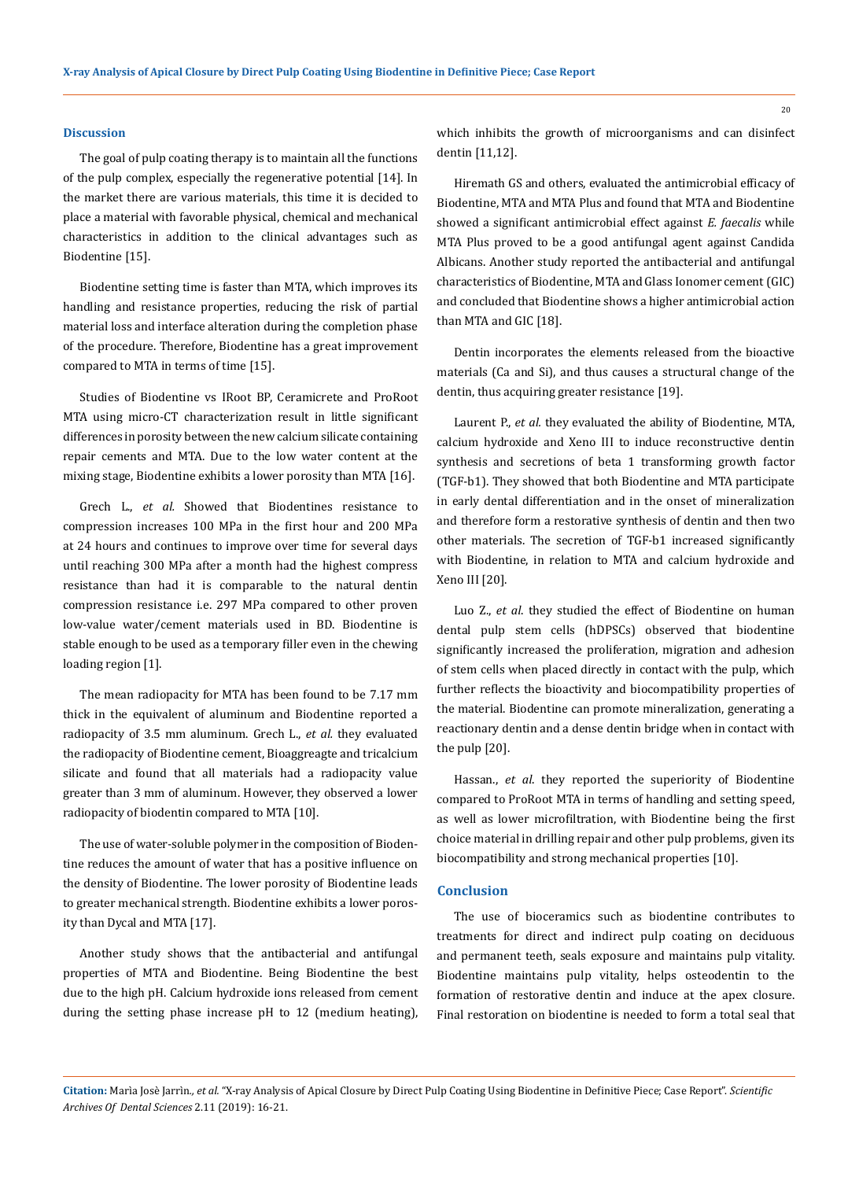#### **Discussion**

The goal of pulp coating therapy is to maintain all the functions of the pulp complex, especially the regenerative potential [14]. In the market there are various materials, this time it is decided to place a material with favorable physical, chemical and mechanical characteristics in addition to the clinical advantages such as Biodentine [15].

Biodentine setting time is faster than MTA, which improves its handling and resistance properties, reducing the risk of partial material loss and interface alteration during the completion phase of the procedure. Therefore, Biodentine has a great improvement compared to MTA in terms of time [15].

Studies of Biodentine vs IRoot BP, Ceramicrete and ProRoot MTA using micro-CT characterization result in little significant differences in porosity between the new calcium silicate containing repair cements and MTA. Due to the low water content at the mixing stage, Biodentine exhibits a lower porosity than MTA [16].

Grech L., *et al.* Showed that Biodentines resistance to compression increases 100 MPa in the first hour and 200 MPa at 24 hours and continues to improve over time for several days until reaching 300 MPa after a month had the highest compress resistance than had it is comparable to the natural dentin compression resistance i.e. 297 MPa compared to other proven low-value water/cement materials used in BD. Biodentine is stable enough to be used as a temporary filler even in the chewing loading region [1].

The mean radiopacity for MTA has been found to be 7.17 mm thick in the equivalent of aluminum and Biodentine reported a radiopacity of 3.5 mm aluminum. Grech L., *et al.* they evaluated the radiopacity of Biodentine cement, Bioaggreagte and tricalcium silicate and found that all materials had a radiopacity value greater than 3 mm of aluminum. However, they observed a lower radiopacity of biodentin compared to MTA [10].

The use of water-soluble polymer in the composition of Biodentine reduces the amount of water that has a positive influence on the density of Biodentine. The lower porosity of Biodentine leads to greater mechanical strength. Biodentine exhibits a lower porosity than Dycal and MTA [17].

Another study shows that the antibacterial and antifungal properties of MTA and Biodentine. Being Biodentine the best due to the high pH. Calcium hydroxide ions released from cement during the setting phase increase pH to 12 (medium heating),

which inhibits the growth of microorganisms and can disinfect dentin [11,12].

Hiremath GS and others, evaluated the antimicrobial efficacy of Biodentine, MTA and MTA Plus and found that MTA and Biodentine showed a significant antimicrobial effect against *E. faecalis* while MTA Plus proved to be a good antifungal agent against Candida Albicans. Another study reported the antibacterial and antifungal characteristics of Biodentine, MTA and Glass Ionomer cement (GIC) and concluded that Biodentine shows a higher antimicrobial action than MTA and GIC [18].

Dentin incorporates the elements released from the bioactive materials (Ca and Si), and thus causes a structural change of the dentin, thus acquiring greater resistance [19].

Laurent P., *et al.* they evaluated the ability of Biodentine, MTA, calcium hydroxide and Xeno III to induce reconstructive dentin synthesis and secretions of beta 1 transforming growth factor (TGF-b1). They showed that both Biodentine and MTA participate in early dental differentiation and in the onset of mineralization and therefore form a restorative synthesis of dentin and then two other materials. The secretion of TGF-b1 increased significantly with Biodentine, in relation to MTA and calcium hydroxide and Xeno III [20].

Luo Z., *et al*. they studied the effect of Biodentine on human dental pulp stem cells (hDPSCs) observed that biodentine significantly increased the proliferation, migration and adhesion of stem cells when placed directly in contact with the pulp, which further reflects the bioactivity and biocompatibility properties of the material. Biodentine can promote mineralization, generating a reactionary dentin and a dense dentin bridge when in contact with the pulp [20].

Hassan., *et al*. they reported the superiority of Biodentine compared to ProRoot MTA in terms of handling and setting speed, as well as lower microfiltration, with Biodentine being the first choice material in drilling repair and other pulp problems, given its biocompatibility and strong mechanical properties [10].

## **Conclusion**

The use of bioceramics such as biodentine contributes to treatments for direct and indirect pulp coating on deciduous and permanent teeth, seals exposure and maintains pulp vitality. Biodentine maintains pulp vitality, helps osteodentin to the formation of restorative dentin and induce at the apex closure. Final restoration on biodentine is needed to form a total seal that

**Citation:** Marìa Josè Jarrìn*., et al.* "X-ray Analysis of Apical Closure by Direct Pulp Coating Using Biodentine in Definitive Piece; Case Report". *Scientific Archives Of Dental Sciences* 2.11 (2019): 16-21.